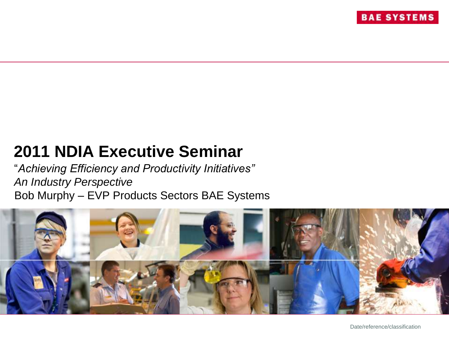# **2011 NDIA Executive Seminar**

"*Achieving Efficiency and Productivity Initiatives" An Industry Perspective* Bob Murphy – EVP Products Sectors BAE Systems

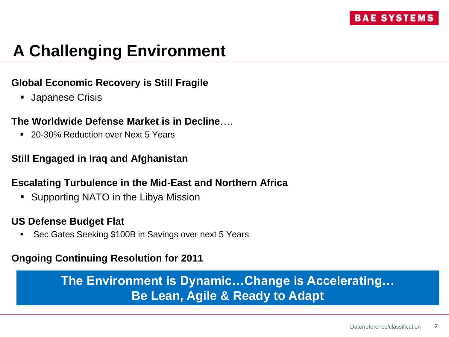# **A Challenging Environment**

### **Global Economic Recovery is Still Fragile**

**Japanese Crisis** 

#### **The Worldwide Defense Market is in Decline**….

■ 20-30% Reduction over Next 5 Years

#### **Still Engaged in Iraq and Afghanistan**

#### **Escalating Turbulence in the Mid-East and Northern Africa**

Supporting NATO in the Libya Mission

#### **US Defense Budget Flat**

Sec Gates Seeking \$100B in Savings over next 5 Years

#### **Ongoing Continuing Resolution for 2011**

## **The Environment is Dynamic…Change is Accelerating… Be Lean, Agile & Ready to Adapt**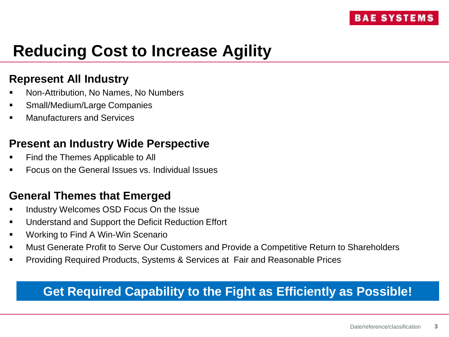# **Reducing Cost to Increase Agility**

### **Represent All Industry**

- Non-Attribution, No Names, No Numbers
- Small/Medium/Large Companies
- Manufacturers and Services

### **Present an Industry Wide Perspective**

- Find the Themes Applicable to All
- Focus on the General Issues vs. Individual Issues

## **General Themes that Emerged**

- Industry Welcomes OSD Focus On the Issue
- Understand and Support the Deficit Reduction Effort
- Working to Find A Win-Win Scenario
- Must Generate Profit to Serve Our Customers and Provide a Competitive Return to Shareholders
- Providing Required Products, Systems & Services at Fair and Reasonable Prices

## **Get Required Capability to the Fight as Efficiently as Possible!**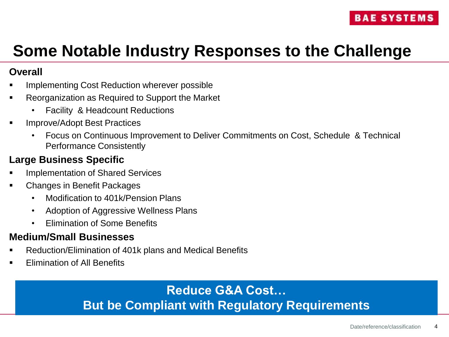# **Some Notable Industry Responses to the Challenge**

#### **Overall**

- Implementing Cost Reduction wherever possible
- Reorganization as Required to Support the Market
	- Facility & Headcount Reductions
- Improve/Adopt Best Practices
	- Focus on Continuous Improvement to Deliver Commitments on Cost, Schedule & Technical Performance Consistently

### **Large Business Specific**

- Implementation of Shared Services
- Changes in Benefit Packages
	- Modification to 401k/Pension Plans
	- Adoption of Aggressive Wellness Plans
	- Elimination of Some Benefits

### **Medium/Small Businesses**

- Reduction/Elimination of 401k plans and Medical Benefits
- Elimination of All Benefits

## **Reduce G&A Cost… But be Compliant with Regulatory Requirements**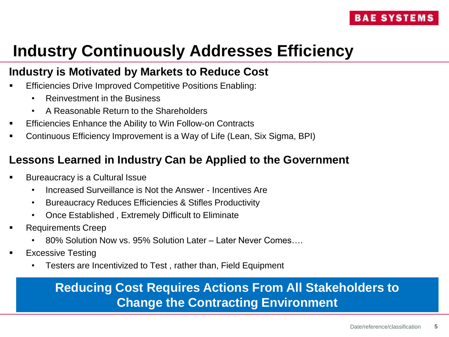# **Industry Continuously Addresses Efficiency**

## **Industry is Motivated by Markets to Reduce Cost**

- Efficiencies Drive Improved Competitive Positions Enabling:
	- Reinvestment in the Business
	- A Reasonable Return to the Shareholders
- Efficiencies Enhance the Ability to Win Follow-on Contracts
- Continuous Efficiency Improvement is a Way of Life (Lean, Six Sigma, BPI)

## **Lessons Learned in Industry Can be Applied to the Government**

- Bureaucracy is a Cultural Issue
	- Increased Surveillance is Not the Answer Incentives Are
	- Bureaucracy Reduces Efficiencies & Stifles Productivity
	- Once Established , Extremely Difficult to Eliminate
- Requirements Creep
	- 80% Solution Now vs. 95% Solution Later Later Never Comes….
- Excessive Testing
	- Testers are Incentivized to Test , rather than, Field Equipment

## **Reducing Cost Requires Actions From All Stakeholders to Change the Contracting Environment**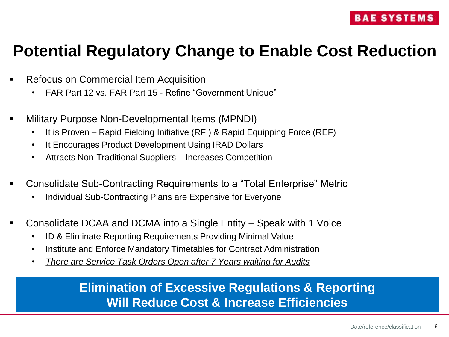# **Potential Regulatory Change to Enable Cost Reduction**

- Refocus on Commercial Item Acquisition
	- FAR Part 12 vs. FAR Part 15 Refine "Government Unique"
- Military Purpose Non-Developmental Items (MPNDI)
	- It is Proven Rapid Fielding Initiative (RFI) & Rapid Equipping Force (REF)
	- It Encourages Product Development Using IRAD Dollars
	- Attracts Non-Traditional Suppliers Increases Competition
- Consolidate Sub-Contracting Requirements to a "Total Enterprise" Metric
	- Individual Sub-Contracting Plans are Expensive for Everyone
- Consolidate DCAA and DCMA into a Single Entity Speak with 1 Voice
	- ID & Eliminate Reporting Requirements Providing Minimal Value
	- Institute and Enforce Mandatory Timetables for Contract Administration
	- *There are Service Task Orders Open after 7 Years waiting for Audits*

## **Elimination of Excessive Regulations & Reporting Will Reduce Cost & Increase Efficiencies**